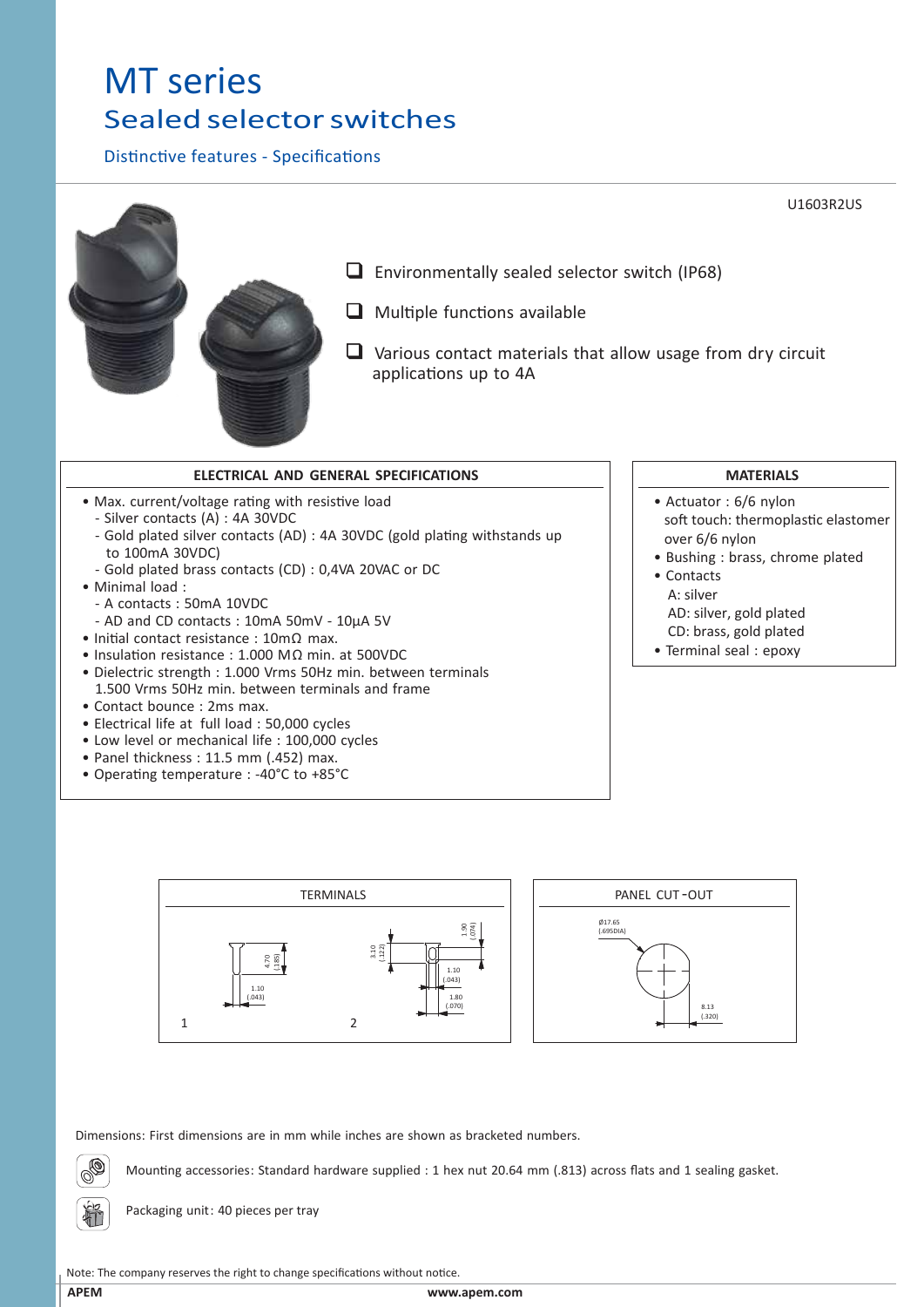## MT series Sealed selector switches

Distinctive features - Specifications



- Max. current/voltage rating with resistive load
	- Silver contacts (A) : 4A 30VDC
	- Gold plated silver contacts (AD) : 4A 30VDC (gold plating withstands up to 100mA 30VDC)
	- Gold plated brass contacts (CD) : 0,4VA 20VAC or DC
- Minimal load :
	- A contacts : 50mA 10VDC
- AD and CD contacts : 10mA 50mV 10µA 5V
- Initial contact resistance : 10mΩ max.
- Insulation resistance : 1.000 MΩ min. at 500VDC
- Dielectric strength : 1.000 Vrms 50Hz min. between terminals 1.500 Vrms 50Hz min. between terminals and frame
- Contact bounce : 2ms max.
- Electrical life at full load : 50,000 cycles
- Low level or mechanical life : 100,000 cycles
- Panel thickness : 11.5 mm (.452) max.
- Operating temperature : -40°C to +85°C



- Actuator : 6/6 nylon soft touch: thermoplastic elastomer over 6/6 nylon
- Bushing : brass, chrome plated
- Contacts A: silver AD: silver, gold plated CD: brass, gold plated
- Terminal seal : epoxy



Dimensions: First dimensions are in mm while inches are shown as bracketed numbers.

Mounting accessories: Standard hardware supplied : 1 hex nut 20.64 mm (.813) across flats and 1 sealing gasket.

Packaging unit: 40 pieces per tray

Note: The company reserves the right to change specifications without notice.

植

## **APEM www.apem.com**